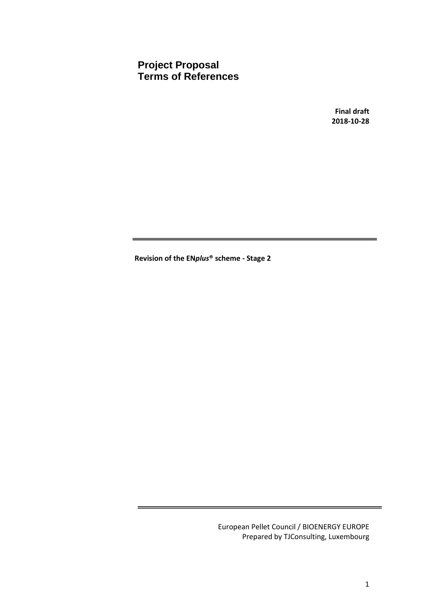**Project Proposal Terms of References**

> **Final draft 2018-10-28**

**Revision of the EN***plus***® scheme - Stage 2**

European Pellet Council / BIOENERGY EUROPE Prepared by TJConsulting, Luxembourg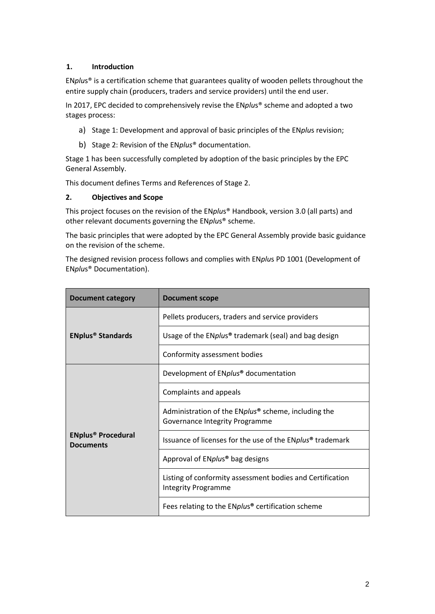## **1. Introduction**

EN*plu*s® is a certification scheme that guarantees quality of wooden pellets throughout the entire supply chain (producers, traders and service providers) until the end user.

In 2017, EPC decided to comprehensively revise the EN*plu*s® scheme and adopted a two stages process:

- a) Stage 1: Development and approval of basic principles of the EN*plu*s revision;
- b) Stage 2: Revision of the EN*plus*® documentation.

Stage 1 has been successfully completed by adoption of the basic principles by the EPC General Assembly.

This document defines Terms and References of Stage 2.

#### **2. Objectives and Scope**

This project focuses on the revision of the EN*plu*s® Handbook, version 3.0 (all parts) and other relevant documents governing the EN*plu*s® scheme.

The basic principles that were adopted by the EPC General Assembly provide basic guidance on the revision of the scheme.

The designed revision process follows and complies with EN*plu*s PD 1001 (Development of EN*plu*s® Documentation).

| <b>Document category</b>                                 | <b>Document scope</b>                                                                   |  |  |  |  |  |
|----------------------------------------------------------|-----------------------------------------------------------------------------------------|--|--|--|--|--|
|                                                          | Pellets producers, traders and service providers                                        |  |  |  |  |  |
| <b>ENplus<sup>®</sup> Standards</b>                      | Usage of the ENplus <sup>®</sup> trademark (seal) and bag design                        |  |  |  |  |  |
|                                                          | Conformity assessment bodies                                                            |  |  |  |  |  |
|                                                          | Development of ENplus <sup>®</sup> documentation                                        |  |  |  |  |  |
|                                                          | Complaints and appeals                                                                  |  |  |  |  |  |
|                                                          | Administration of the ENplus® scheme, including the<br>Governance Integrity Programme   |  |  |  |  |  |
| <b>ENplus<sup>®</sup> Procedural</b><br><b>Documents</b> | Issuance of licenses for the use of the ENplus <sup>®</sup> trademark                   |  |  |  |  |  |
|                                                          | Approval of ENplus <sup>®</sup> bag designs                                             |  |  |  |  |  |
|                                                          | Listing of conformity assessment bodies and Certification<br><b>Integrity Programme</b> |  |  |  |  |  |
|                                                          | Fees relating to the ENplus <sup>®</sup> certification scheme                           |  |  |  |  |  |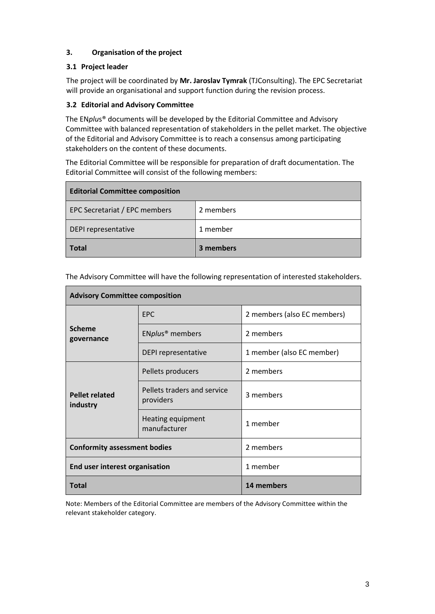## **3. Organisation of the project**

## **3.1 Project leader**

The project will be coordinated by **Mr. Jaroslav Tymrak** (TJConsulting). The EPC Secretariat will provide an organisational and support function during the revision process.

## **3.2 Editorial and Advisory Committee**

The EN*plu*s® documents will be developed by the Editorial Committee and Advisory Committee with balanced representation of stakeholders in the pellet market. The objective of the Editorial and Advisory Committee is to reach a consensus among participating stakeholders on the content of these documents.

The Editorial Committee will be responsible for preparation of draft documentation. The Editorial Committee will consist of the following members:

| <b>Editorial Committee composition</b> |           |
|----------------------------------------|-----------|
| EPC Secretariat / EPC members          | 2 members |
| DEPI representative                    | 1 member  |
| <b>Total</b>                           | 3 members |

| <b>Advisory Committee composition</b> |                                          |                             |  |  |  |  |  |
|---------------------------------------|------------------------------------------|-----------------------------|--|--|--|--|--|
|                                       | <b>EPC</b>                               | 2 members (also EC members) |  |  |  |  |  |
| <b>Scheme</b><br>governance           | ENplus <sup>®</sup> members              | 2 members                   |  |  |  |  |  |
|                                       | DEPI representative                      | 1 member (also EC member)   |  |  |  |  |  |
|                                       | Pellets producers                        | 2 members                   |  |  |  |  |  |
| <b>Pellet related</b><br>industry     | Pellets traders and service<br>providers | 3 members                   |  |  |  |  |  |
|                                       | Heating equipment<br>manufacturer        | 1 member                    |  |  |  |  |  |
| <b>Conformity assessment bodies</b>   |                                          | 2 members                   |  |  |  |  |  |
| End user interest organisation        |                                          | 1 member                    |  |  |  |  |  |
| <b>Total</b>                          |                                          | 14 members                  |  |  |  |  |  |

The Advisory Committee will have the following representation of interested stakeholders.

Note: Members of the Editorial Committee are members of the Advisory Committee within the relevant stakeholder category.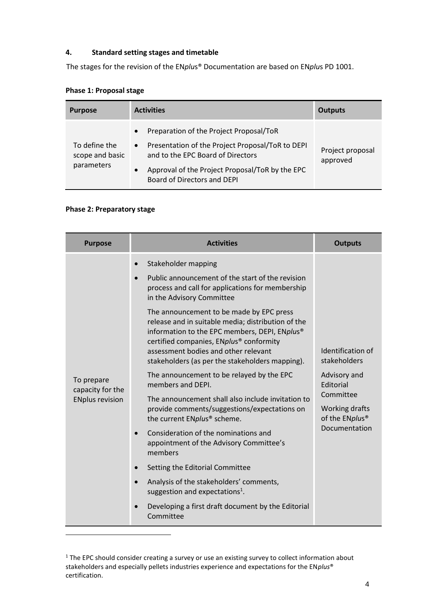## **4. Standard setting stages and timetable**

The stages for the revision of the EN*plu*s® Documentation are based on EN*plu*s PD 1001.

| <b>Purpose</b>                                 | <b>Activities</b>                                                                                                                                                                                                                                         | Outputs                      |
|------------------------------------------------|-----------------------------------------------------------------------------------------------------------------------------------------------------------------------------------------------------------------------------------------------------------|------------------------------|
| To define the<br>scope and basic<br>parameters | Preparation of the Project Proposal/ToR<br>$\bullet$<br>Presentation of the Project Proposal/ToR to DEPI<br>$\bullet$<br>and to the EPC Board of Directors<br>Approval of the Project Proposal/ToR by the EPC<br>$\bullet$<br>Board of Directors and DEPI | Project proposal<br>approved |

#### **Phase 1: Proposal stage**

## **Phase 2: Preparatory stage**

 $\overline{a}$ 

| <b>Purpose</b>                                           | <b>Activities</b>                                                                                                                                                                                                                                                                                                                                                                                                                                                                                                                                                                                                                                                                                                                                                                                                                                                                                                                                                                         | <b>Outputs</b>                                                                                                                               |
|----------------------------------------------------------|-------------------------------------------------------------------------------------------------------------------------------------------------------------------------------------------------------------------------------------------------------------------------------------------------------------------------------------------------------------------------------------------------------------------------------------------------------------------------------------------------------------------------------------------------------------------------------------------------------------------------------------------------------------------------------------------------------------------------------------------------------------------------------------------------------------------------------------------------------------------------------------------------------------------------------------------------------------------------------------------|----------------------------------------------------------------------------------------------------------------------------------------------|
| To prepare<br>capacity for the<br><b>ENplus revision</b> | Stakeholder mapping<br>Public announcement of the start of the revision<br>process and call for applications for membership<br>in the Advisory Committee<br>The announcement to be made by EPC press<br>release and in suitable media; distribution of the<br>information to the EPC members, DEPI, ENplus <sup>®</sup><br>certified companies, ENplus <sup>®</sup> conformity<br>assessment bodies and other relevant<br>stakeholders (as per the stakeholders mapping).<br>The announcement to be relayed by the EPC<br>members and DEPI.<br>The announcement shall also include invitation to<br>provide comments/suggestions/expectations on<br>the current ENplus® scheme.<br>Consideration of the nominations and<br>appointment of the Advisory Committee's<br>members<br>Setting the Editorial Committee<br>Analysis of the stakeholders' comments,<br>suggestion and expectations <sup>1</sup> .<br>Developing a first draft document by the Editorial<br>$\bullet$<br>Committee | Identification of<br>stakeholders<br>Advisory and<br>Editorial<br>Committee<br>Working drafts<br>of the ENplus <sup>®</sup><br>Documentation |

<sup>&</sup>lt;sup>1</sup> The EPC should consider creating a survey or use an existing survey to collect information about stakeholders and especially pellets industries experience and expectations for the EN*plus*® certification.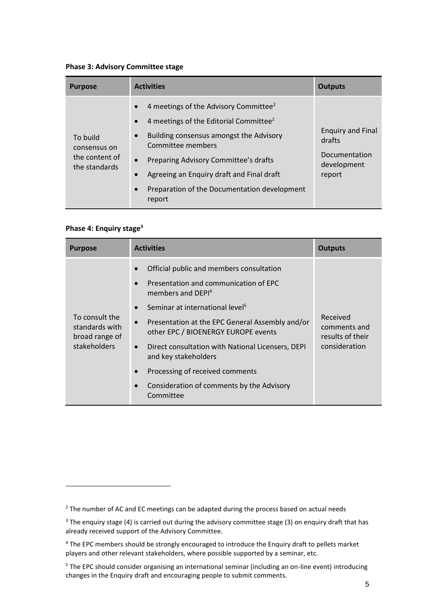#### **Phase 3: Advisory Committee stage**

| <b>Purpose</b>                                              | <b>Activities</b>                                                                                                                                                                                                                                                                                                                                                                                     | <b>Outputs</b>                                                               |  |  |  |  |  |
|-------------------------------------------------------------|-------------------------------------------------------------------------------------------------------------------------------------------------------------------------------------------------------------------------------------------------------------------------------------------------------------------------------------------------------------------------------------------------------|------------------------------------------------------------------------------|--|--|--|--|--|
| To build<br>consensus on<br>the content of<br>the standards | 4 meetings of the Advisory Committee <sup>2</sup><br>$\bullet$<br>4 meetings of the Editorial Committee <sup>2</sup><br>$\bullet$<br>Building consensus amongst the Advisory<br>$\bullet$<br>Committee members<br>Preparing Advisory Committee's drafts<br>$\bullet$<br>Agreeing an Enquiry draft and Final draft<br>$\bullet$<br>Preparation of the Documentation development<br>$\bullet$<br>report | <b>Enquiry and Final</b><br>drafts<br>Documentation<br>development<br>report |  |  |  |  |  |

## **Phase 4: Enquiry stage<sup>3</sup>**

 $\overline{a}$ 

| <b>Purpose</b>                                                     | <b>Activities</b>                                                                                                                                                                                                                                                                                                                                                                                                                                                                                                                | <b>Outputs</b>                                                |
|--------------------------------------------------------------------|----------------------------------------------------------------------------------------------------------------------------------------------------------------------------------------------------------------------------------------------------------------------------------------------------------------------------------------------------------------------------------------------------------------------------------------------------------------------------------------------------------------------------------|---------------------------------------------------------------|
| To consult the<br>standards with<br>broad range of<br>stakeholders | Official public and members consultation<br>$\bullet$<br>Presentation and communication of EPC<br>$\bullet$<br>members and DEPI <sup>4</sup><br>Seminar at international level <sup>5</sup><br>$\bullet$<br>Presentation at the EPC General Assembly and/or<br>$\bullet$<br>other EPC / BIOENERGY EUROPE events<br>Direct consultation with National Licensers, DEPI<br>$\bullet$<br>and key stakeholders<br>Processing of received comments<br>$\bullet$<br>Consideration of comments by the Advisory<br>$\bullet$<br>Committee | Received<br>comments and<br>results of their<br>consideration |

<sup>&</sup>lt;sup>2</sup> The number of AC and EC meetings can be adapted during the process based on actual needs

<sup>&</sup>lt;sup>3</sup> The enquiry stage (4) is carried out during the advisory committee stage (3) on enquiry draft that has already received support of the Advisory Committee.

<sup>&</sup>lt;sup>4</sup> The EPC members should be strongly encouraged to introduce the Enquiry draft to pellets market players and other relevant stakeholders, where possible supported by a seminar, etc.

<sup>&</sup>lt;sup>5</sup> The EPC should consider organising an international seminar (including an on-line event) introducing changes in the Enquiry draft and encouraging people to submit comments.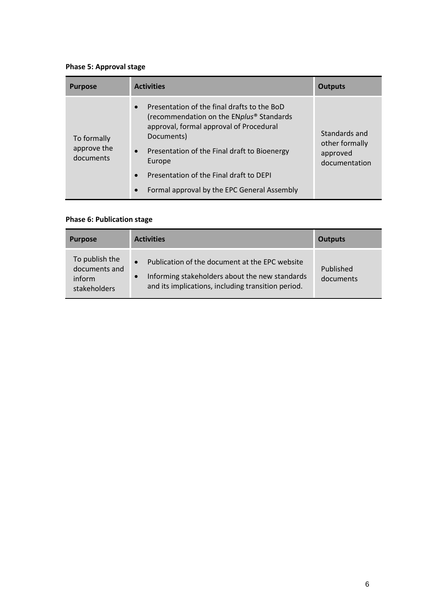# **Phase 5: Approval stage**

| <b>Purpose</b>                          | <b>Activities</b>                                                                                                                                                                                                                                                                                                                                         | <b>Outputs</b>                                               |
|-----------------------------------------|-----------------------------------------------------------------------------------------------------------------------------------------------------------------------------------------------------------------------------------------------------------------------------------------------------------------------------------------------------------|--------------------------------------------------------------|
| To formally<br>approve the<br>documents | Presentation of the final drafts to the BoD<br>$\bullet$<br>(recommendation on the ENplus <sup>®</sup> Standards<br>approval, formal approval of Procedural<br>Documents)<br>• Presentation of the Final draft to Bioenergy<br>Europe<br>Presentation of the Final draft to DEPI<br>$\bullet$<br>Formal approval by the EPC General Assembly<br>$\bullet$ | Standards and<br>other formally<br>approved<br>documentation |

## **Phase 6: Publication stage**

| <b>Purpose</b>                                            | <b>Activities</b>                                                                                                                                                                | Outputs                |
|-----------------------------------------------------------|----------------------------------------------------------------------------------------------------------------------------------------------------------------------------------|------------------------|
| To publish the<br>documents and<br>inform<br>stakeholders | Publication of the document at the EPC website<br>$\bullet$<br>Informing stakeholders about the new standards<br>$\bullet$<br>and its implications, including transition period. | Published<br>documents |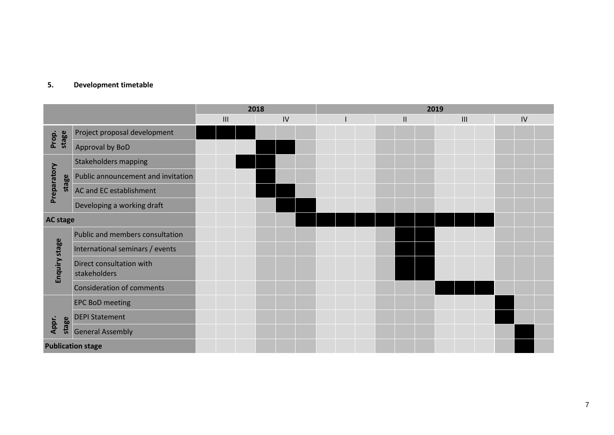## **5. Development timetable**

|                      |                                          | 2018 |                |  |    | 2019 |  |  |  |  |                            |  |  |     |  |  |    |  |
|----------------------|------------------------------------------|------|----------------|--|----|------|--|--|--|--|----------------------------|--|--|-----|--|--|----|--|
|                      |                                          |      | $\mathbf{III}$ |  | IV |      |  |  |  |  | $\ensuremath{\mathsf{II}}$ |  |  | III |  |  | IV |  |
| stage<br>Prop.       | Project proposal development             |      |                |  |    |      |  |  |  |  |                            |  |  |     |  |  |    |  |
|                      | Approval by BoD                          |      |                |  |    |      |  |  |  |  |                            |  |  |     |  |  |    |  |
|                      | <b>Stakeholders mapping</b>              |      |                |  |    |      |  |  |  |  |                            |  |  |     |  |  |    |  |
| Preparatory<br>stage | Public announcement and invitation       |      |                |  |    |      |  |  |  |  |                            |  |  |     |  |  |    |  |
|                      | AC and EC establishment                  |      |                |  |    |      |  |  |  |  |                            |  |  |     |  |  |    |  |
|                      | Developing a working draft               |      |                |  |    |      |  |  |  |  |                            |  |  |     |  |  |    |  |
|                      | <b>AC stage</b>                          |      |                |  |    |      |  |  |  |  |                            |  |  |     |  |  |    |  |
|                      | Public and members consultation          |      |                |  |    |      |  |  |  |  |                            |  |  |     |  |  |    |  |
|                      | International seminars / events          |      |                |  |    |      |  |  |  |  |                            |  |  |     |  |  |    |  |
| Enquiry stage        | Direct consultation with<br>stakeholders |      |                |  |    |      |  |  |  |  |                            |  |  |     |  |  |    |  |
|                      | <b>Consideration of comments</b>         |      |                |  |    |      |  |  |  |  |                            |  |  |     |  |  |    |  |
|                      | <b>EPC BoD meeting</b>                   |      |                |  |    |      |  |  |  |  |                            |  |  |     |  |  |    |  |
|                      | <b>DEPI Statement</b>                    |      |                |  |    |      |  |  |  |  |                            |  |  |     |  |  |    |  |
| stage<br>Appr.       | <b>General Assembly</b>                  |      |                |  |    |      |  |  |  |  |                            |  |  |     |  |  |    |  |
|                      | <b>Publication stage</b>                 |      |                |  |    |      |  |  |  |  |                            |  |  |     |  |  |    |  |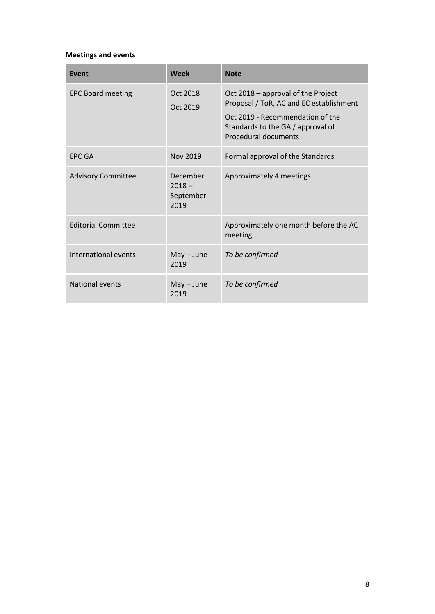# **Meetings and events**

| <b>Event</b>               | Week                                      | <b>Note</b>                                                                                                                                                                           |
|----------------------------|-------------------------------------------|---------------------------------------------------------------------------------------------------------------------------------------------------------------------------------------|
| <b>EPC Board meeting</b>   | Oct 2018<br>Oct 2019                      | Oct 2018 – approval of the Project<br>Proposal / ToR, AC and EC establishment<br>Oct 2019 - Recommendation of the<br>Standards to the GA / approval of<br><b>Procedural documents</b> |
| <b>EPC GA</b>              | Nov 2019                                  | Formal approval of the Standards                                                                                                                                                      |
| <b>Advisory Committee</b>  | December<br>$2018 -$<br>September<br>2019 | Approximately 4 meetings                                                                                                                                                              |
| <b>Editorial Committee</b> |                                           | Approximately one month before the AC<br>meeting                                                                                                                                      |
| International events       | $May - June$<br>2019                      | To be confirmed                                                                                                                                                                       |
| National events            | $May - June$<br>2019                      | To be confirmed                                                                                                                                                                       |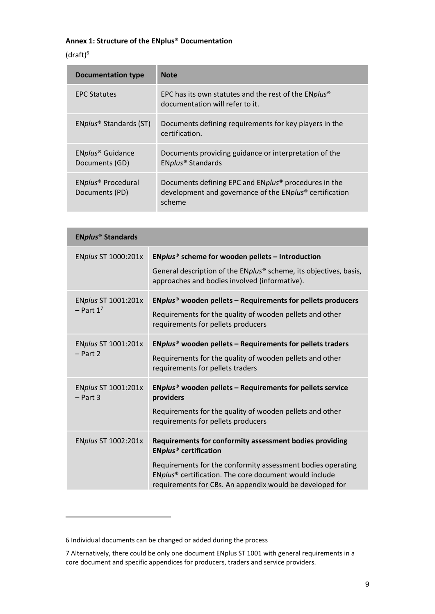# **Annex 1: Structure of the ENplus**® **Documentation**

## $(draff)^6$

 $\overline{a}$ 

| <b>Documentation type</b>                        | <b>Note</b>                                                                                                                                       |
|--------------------------------------------------|---------------------------------------------------------------------------------------------------------------------------------------------------|
| <b>EPC Statutes</b>                              | EPC has its own statutes and the rest of the ENplus <sup>®</sup><br>documentation will refer to it.                                               |
| ENplus <sup>®</sup> Standards (ST)               | Documents defining requirements for key players in the<br>certification.                                                                          |
| ENplus <sup>®</sup> Guidance<br>Documents (GD)   | Documents providing guidance or interpretation of the<br>ENplus <sup>®</sup> Standards                                                            |
| ENplus <sup>®</sup> Procedural<br>Documents (PD) | Documents defining EPC and ENplus <sup>®</sup> procedures in the<br>development and governance of the ENplus <sup>®</sup> certification<br>scheme |

| <b>ENplus<sup>®</sup> Standards</b>   |                                                                                                                                                                                                                                                                                                     |  |
|---------------------------------------|-----------------------------------------------------------------------------------------------------------------------------------------------------------------------------------------------------------------------------------------------------------------------------------------------------|--|
| ENplus ST 1000:201x                   | ENplus <sup>®</sup> scheme for wooden pellets – Introduction<br>General description of the ENplus <sup>®</sup> scheme, its objectives, basis,<br>approaches and bodies involved (informative).                                                                                                      |  |
| ENplus ST 1001:201x<br>$-$ Part $1^7$ | ENplus <sup>®</sup> wooden pellets – Requirements for pellets producers<br>Requirements for the quality of wooden pellets and other<br>requirements for pellets producers                                                                                                                           |  |
| ENplus ST 1001:201x<br>$-$ Part 2     | ENplus <sup>®</sup> wooden pellets - Requirements for pellets traders<br>Requirements for the quality of wooden pellets and other<br>requirements for pellets traders                                                                                                                               |  |
| ENplus ST 1001:201x<br>$- Part 3$     | ENplus <sup>®</sup> wooden pellets - Requirements for pellets service<br>providers<br>Requirements for the quality of wooden pellets and other<br>requirements for pellets producers                                                                                                                |  |
| ENplus ST 1002:201x                   | Requirements for conformity assessment bodies providing<br><b>ENplus<sup>®</sup></b> certification<br>Requirements for the conformity assessment bodies operating<br>ENplus <sup>®</sup> certification. The core document would include<br>requirements for CBs. An appendix would be developed for |  |

<sup>6</sup> Individual documents can be changed or added during the process

<sup>7</sup> Alternatively, there could be only one document ENplus ST 1001 with general requirements in a core document and specific appendices for producers, traders and service providers.